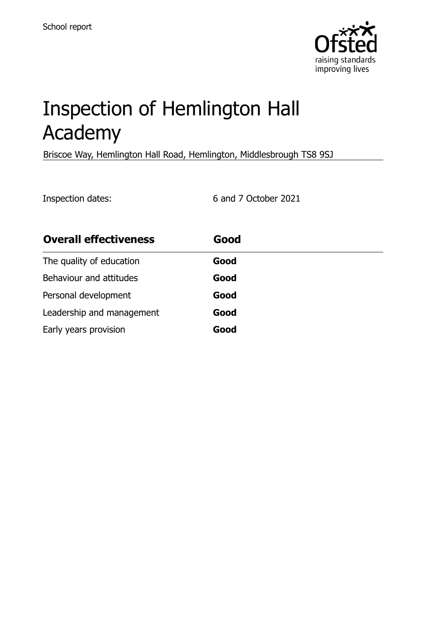

# Inspection of Hemlington Hall Academy

Briscoe Way, Hemlington Hall Road, Hemlington, Middlesbrough TS8 9SJ

Inspection dates: 6 and 7 October 2021

| <b>Overall effectiveness</b> | Good |
|------------------------------|------|
| The quality of education     | Good |
| Behaviour and attitudes      | Good |
| Personal development         | Good |
| Leadership and management    | Good |
| Early years provision        | Good |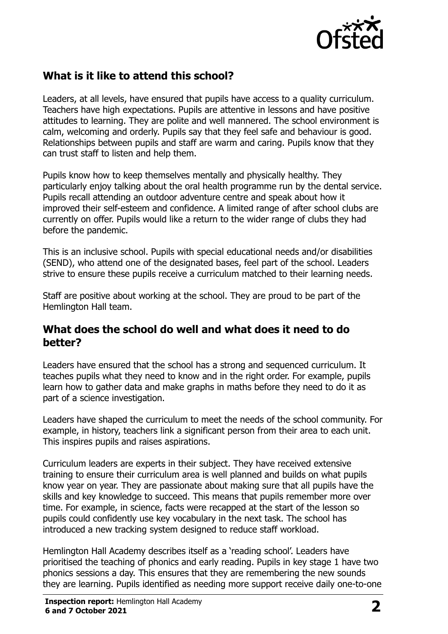

# **What is it like to attend this school?**

Leaders, at all levels, have ensured that pupils have access to a quality curriculum. Teachers have high expectations. Pupils are attentive in lessons and have positive attitudes to learning. They are polite and well mannered. The school environment is calm, welcoming and orderly. Pupils say that they feel safe and behaviour is good. Relationships between pupils and staff are warm and caring. Pupils know that they can trust staff to listen and help them.

Pupils know how to keep themselves mentally and physically healthy. They particularly enjoy talking about the oral health programme run by the dental service. Pupils recall attending an outdoor adventure centre and speak about how it improved their self-esteem and confidence. A limited range of after school clubs are currently on offer. Pupils would like a return to the wider range of clubs they had before the pandemic.

This is an inclusive school. Pupils with special educational needs and/or disabilities (SEND), who attend one of the designated bases, feel part of the school. Leaders strive to ensure these pupils receive a curriculum matched to their learning needs.

Staff are positive about working at the school. They are proud to be part of the Hemlington Hall team.

#### **What does the school do well and what does it need to do better?**

Leaders have ensured that the school has a strong and sequenced curriculum. It teaches pupils what they need to know and in the right order. For example, pupils learn how to gather data and make graphs in maths before they need to do it as part of a science investigation.

Leaders have shaped the curriculum to meet the needs of the school community. For example, in history, teachers link a significant person from their area to each unit. This inspires pupils and raises aspirations.

Curriculum leaders are experts in their subject. They have received extensive training to ensure their curriculum area is well planned and builds on what pupils know year on year. They are passionate about making sure that all pupils have the skills and key knowledge to succeed. This means that pupils remember more over time. For example, in science, facts were recapped at the start of the lesson so pupils could confidently use key vocabulary in the next task. The school has introduced a new tracking system designed to reduce staff workload.

Hemlington Hall Academy describes itself as a 'reading school'. Leaders have prioritised the teaching of phonics and early reading. Pupils in key stage 1 have two phonics sessions a day. This ensures that they are remembering the new sounds they are learning. Pupils identified as needing more support receive daily one-to-one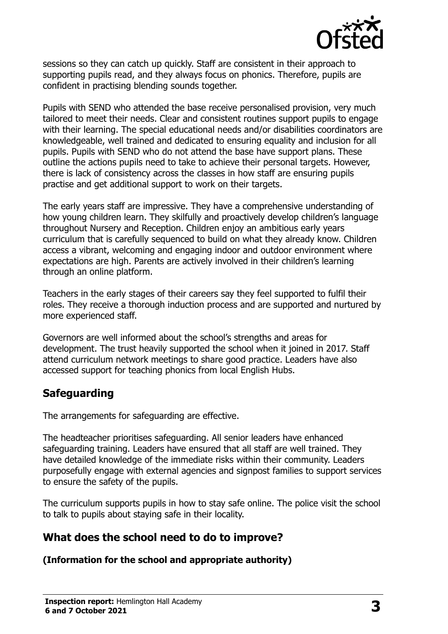

sessions so they can catch up quickly. Staff are consistent in their approach to supporting pupils read, and they always focus on phonics. Therefore, pupils are confident in practising blending sounds together.

Pupils with SEND who attended the base receive personalised provision, very much tailored to meet their needs. Clear and consistent routines support pupils to engage with their learning. The special educational needs and/or disabilities coordinators are knowledgeable, well trained and dedicated to ensuring equality and inclusion for all pupils. Pupils with SEND who do not attend the base have support plans. These outline the actions pupils need to take to achieve their personal targets. However, there is lack of consistency across the classes in how staff are ensuring pupils practise and get additional support to work on their targets.

The early years staff are impressive. They have a comprehensive understanding of how young children learn. They skilfully and proactively develop children's language throughout Nursery and Reception. Children enjoy an ambitious early years curriculum that is carefully sequenced to build on what they already know. Children access a vibrant, welcoming and engaging indoor and outdoor environment where expectations are high. Parents are actively involved in their children's learning through an online platform.

Teachers in the early stages of their careers say they feel supported to fulfil their roles. They receive a thorough induction process and are supported and nurtured by more experienced staff.

Governors are well informed about the school's strengths and areas for development. The trust heavily supported the school when it joined in 2017. Staff attend curriculum network meetings to share good practice. Leaders have also accessed support for teaching phonics from local English Hubs.

# **Safeguarding**

The arrangements for safeguarding are effective.

The headteacher prioritises safeguarding. All senior leaders have enhanced safeguarding training. Leaders have ensured that all staff are well trained. They have detailed knowledge of the immediate risks within their community. Leaders purposefully engage with external agencies and signpost families to support services to ensure the safety of the pupils.

The curriculum supports pupils in how to stay safe online. The police visit the school to talk to pupils about staying safe in their locality.

# **What does the school need to do to improve?**

**(Information for the school and appropriate authority)**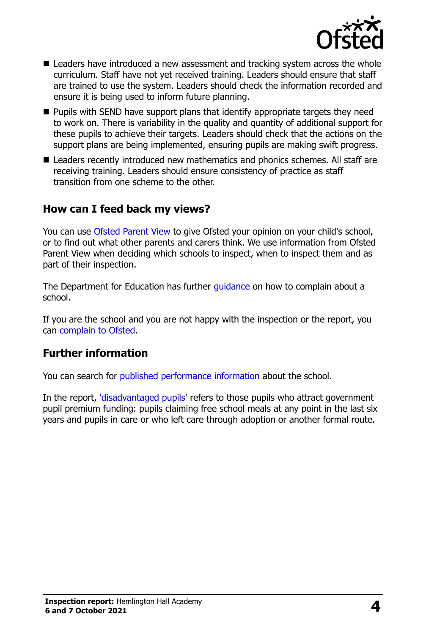

- Leaders have introduced a new assessment and tracking system across the whole curriculum. Staff have not yet received training. Leaders should ensure that staff are trained to use the system. Leaders should check the information recorded and ensure it is being used to inform future planning.
- $\blacksquare$  Pupils with SEND have support plans that identify appropriate targets they need to work on. There is variability in the quality and quantity of additional support for these pupils to achieve their targets. Leaders should check that the actions on the support plans are being implemented, ensuring pupils are making swift progress.
- Leaders recently introduced new mathematics and phonics schemes. All staff are receiving training. Leaders should ensure consistency of practice as staff transition from one scheme to the other.

### **How can I feed back my views?**

You can use Ofsted [Parent View](http://parentview.ofsted.gov.uk/) to give Ofsted your opinion on your child's school, or to find out what other parents and carers think. We use information from Ofsted Parent View when deciding which schools to inspect, when to inspect them and as part of their inspection.

The Department for Education has further *quidance* on how to complain about a school.

If you are the school and you are not happy with the inspection or the report, you can [complain to Ofsted.](http://www.gov.uk/complain-ofsted-report)

### **Further information**

You can search for [published performance information](http://www.compare-school-performance.service.gov.uk/) about the school.

In the report, ['disadvantaged pupils'](http://www.gov.uk/guidance/pupil-premium-information-for-schools-and-alternative-provision-settings) refers to those pupils who attract government pupil premium funding: pupils claiming free school meals at any point in the last six years and pupils in care or who left care through adoption or another formal route.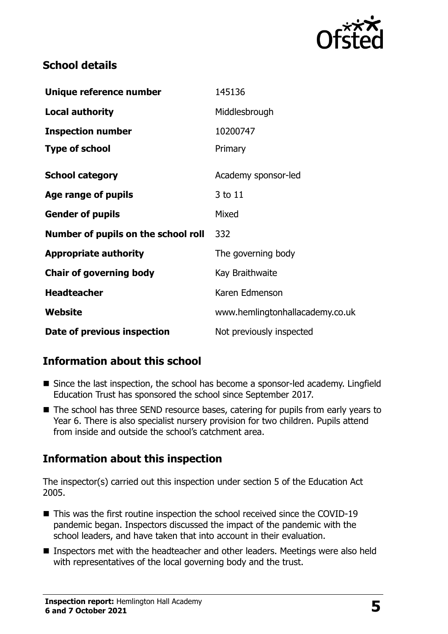

# **School details**

| Unique reference number             | 145136                          |
|-------------------------------------|---------------------------------|
| <b>Local authority</b>              | Middlesbrough                   |
| <b>Inspection number</b>            | 10200747                        |
| <b>Type of school</b>               | Primary                         |
| <b>School category</b>              | Academy sponsor-led             |
| Age range of pupils                 | 3 to 11                         |
| <b>Gender of pupils</b>             | Mixed                           |
| Number of pupils on the school roll | 332                             |
| <b>Appropriate authority</b>        | The governing body              |
| <b>Chair of governing body</b>      | Kay Braithwaite                 |
| <b>Headteacher</b>                  | Karen Edmenson                  |
| Website                             | www.hemlingtonhallacademy.co.uk |
| Date of previous inspection         | Not previously inspected        |

# **Information about this school**

- Since the last inspection, the school has become a sponsor-led academy. Lingfield Education Trust has sponsored the school since September 2017.
- The school has three SEND resource bases, catering for pupils from early years to Year 6. There is also specialist nursery provision for two children. Pupils attend from inside and outside the school's catchment area.

# **Information about this inspection**

The inspector(s) carried out this inspection under section 5 of the Education Act 2005.

- This was the first routine inspection the school received since the COVID-19 pandemic began. Inspectors discussed the impact of the pandemic with the school leaders, and have taken that into account in their evaluation.
- Inspectors met with the headteacher and other leaders. Meetings were also held with representatives of the local governing body and the trust.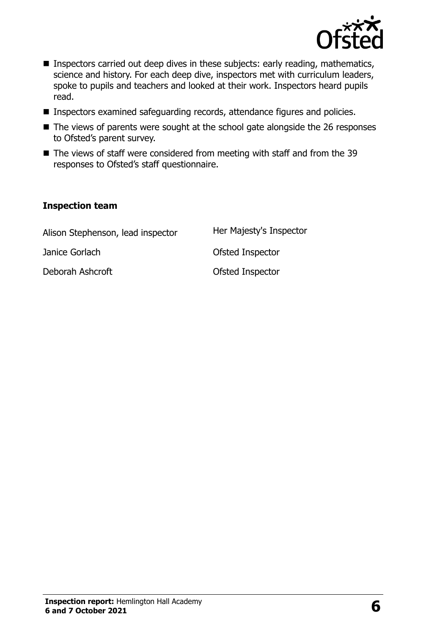

- **Inspectors carried out deep dives in these subjects: early reading, mathematics,** science and history. For each deep dive, inspectors met with curriculum leaders, spoke to pupils and teachers and looked at their work. Inspectors heard pupils read.
- Inspectors examined safeguarding records, attendance figures and policies.
- The views of parents were sought at the school gate alongside the 26 responses to Ofsted's parent survey.
- The views of staff were considered from meeting with staff and from the 39 responses to Ofsted's staff questionnaire.

#### **Inspection team**

| Alison Stephenson, lead inspector | Her Majesty's Inspector |
|-----------------------------------|-------------------------|
| Janice Gorlach                    | Ofsted Inspector        |
| Deborah Ashcroft                  | Ofsted Inspector        |